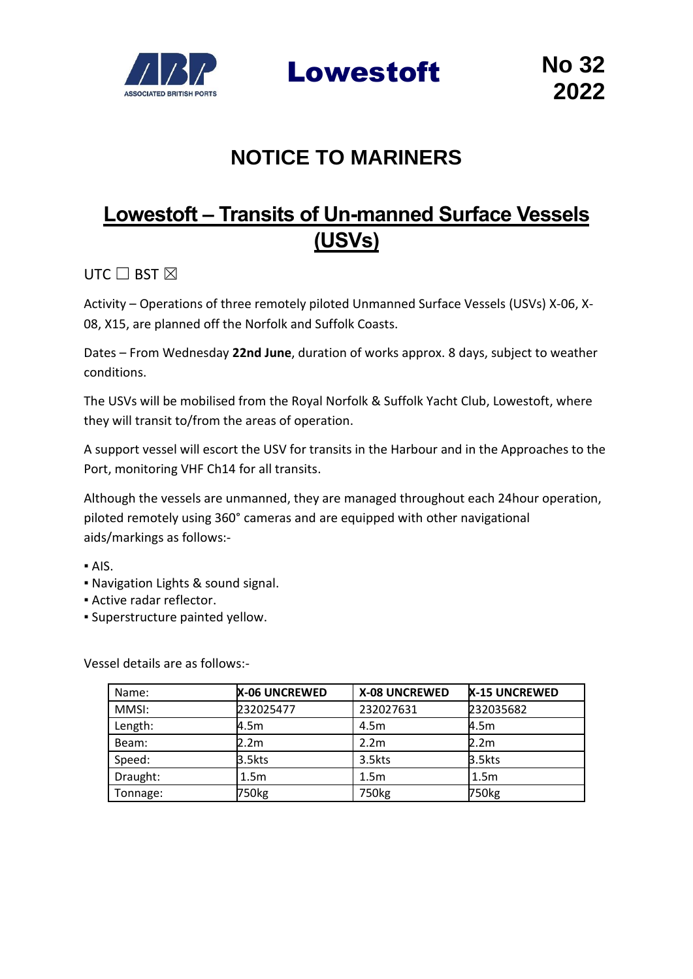

Lowestoft **No 32**

# **NOTICE TO MARINERS**

# **Lowestoft – Transits of Un-manned Surface Vessels (USVs)**

UTC  $\Box$  BST  $\boxtimes$ 

Activity – Operations of three remotely piloted Unmanned Surface Vessels (USVs) X-06, X-08, X15, are planned off the Norfolk and Suffolk Coasts.

Dates – From Wednesday **22nd June**, duration of works approx. 8 days, subject to weather conditions.

The USVs will be mobilised from the Royal Norfolk & Suffolk Yacht Club, Lowestoft, where they will transit to/from the areas of operation.

A support vessel will escort the USV for transits in the Harbour and in the Approaches to the Port, monitoring VHF Ch14 for all transits.

Although the vessels are unmanned, they are managed throughout each 24hour operation, piloted remotely using 360° cameras and are equipped with other navigational aids/markings as follows:-

- AIS.
- Navigation Lights & sound signal.
- **EXECUTE:** Active radar reflector.
- Superstructure painted yellow.

Vessel details are as follows:-

| Name:    | <b>X-06 UNCREWED</b> | <b>X-08 UNCREWED</b> | <b>X-15 UNCREWED</b> |
|----------|----------------------|----------------------|----------------------|
| MMSI:    | 232025477            | 232027631            | 232035682            |
| Length:  | 4.5m                 | 4.5m                 | 4.5m                 |
| Beam:    | 2.2m                 | 2.2 <sub>m</sub>     | 2.2m                 |
| Speed:   | 3.5kts               | 3.5kts               | 3.5kts               |
| Draught: | 1.5m                 | 1.5 <sub>m</sub>     | 1.5 <sub>m</sub>     |
| Tonnage: | 750 <sub>kg</sub>    | 750 <sub>kg</sub>    | 750 <sub>kg</sub>    |